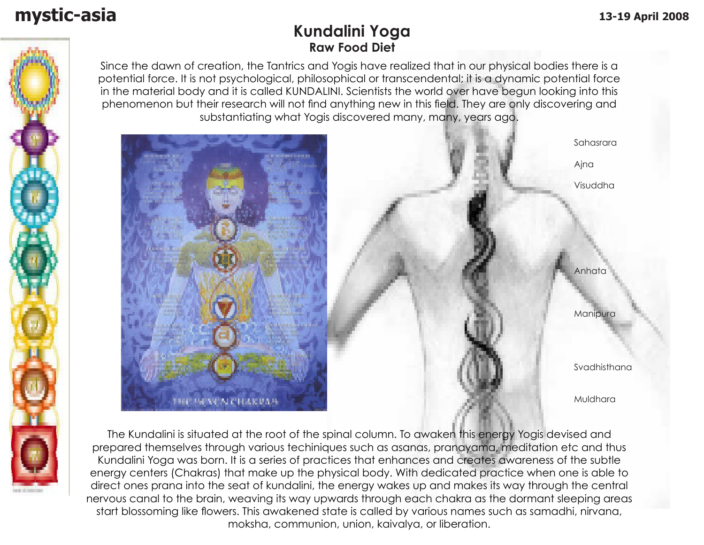### **Kundalini Yoga Raw Food Diet**

Since the dawn of creation, the Tantrics and Yogis have realized that in our physical bodies there is a potential force. It is not psychological, philosophical or transcendental; it is a dynamic potential force in the material body and it is called KUNDALINI. Scientists the world over have begun looking into this phenomenon but their research will not find anything new in this field. They are only discovering and substantiating what Yogis discovered many, many, years ago.



 Sahasrara Ajna Visuddha **Anhata** Anhata and Anhata and Anhata Manipura Svadhisthana Muldhara

The Kundalini is situated at the root of the spinal column. To awaken this energy Yogis devised and prepared themselves through various techiniques such as asanas, pranayama, meditation etc and thus Kundalini Yoga was born. It is a series of practices that enhances and creates awareness of the subtle energy centers (Chakras) that make up the physical body. With dedicated practice when one is able to direct ones prana into the seat of kundalini, the energy wakes up and makes its way through the central nervous canal to the brain, weaving its way upwards through each chakra as the dormant sleeping areas start blossoming like flowers. This awakened state is called by various names such as samadhi, nirvana, moksha, communion, union, kaivalya, or liberation.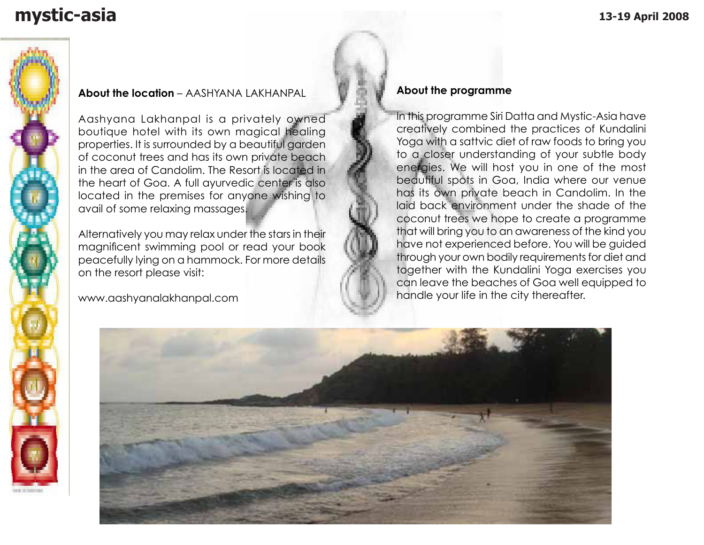## **mystic-asia 13-19 April 2008**



#### **About the location** – AASHYANA LAKHANPAL

Aashyana Lakhanpal is a privately owned boutique hotel with its own magical healing properties. It is surrounded by a beautiful garden of coconut trees and has its own private beach in the area of Candolim. The Resort is located in the heart of Goa. A full ayurvedic center is also located in the premises for anyone wishing to avail of some relaxing massages.

Alternatively you may relax under the stars in their magnificent swimming pool or read your book peacefully lying on a hammock. For more details on the resort please visit:

www.aashyanalakhanpal.com

### **About the programme**

In this programme Siri Datta and Mystic-Asia have creatively combined the practices of Kundalini Yoga with a sattvic diet of raw foods to bring you to a closer understanding of your subtle body energies. We will host you in one of the most beautiful spots in Goa, India where our venue has its own private beach in Candolim. In the laid back environment under the shade of the coconut trees we hope to create a programme that will bring you to an awareness of the kind you have not experienced before. You will be guided through your own bodily requirements for diet and together with the Kundalini Yoga exercises you can leave the beaches of Goa well equipped to handle your life in the city thereafter.

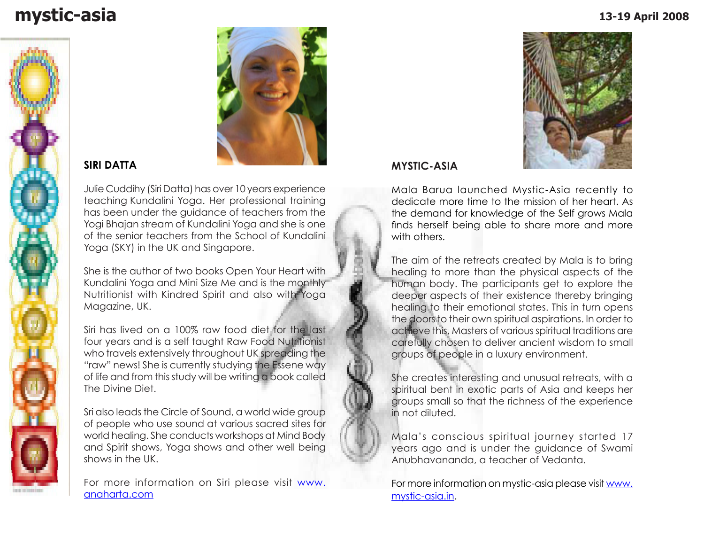### **mystic-asia 13-19 April 2008**





### **SIRI DATTA**

Julie Cuddihy (Siri Datta) has over 10 years experience teaching Kundalini Yoga. Her professional training has been under the guidance of teachers from the Yogi Bhajan stream of Kundalini Yoga and she is one of the senior teachers from the School of Kundalini Yoga (SKY) in the UK and Singapore.

She is the author of two books Open Your Heart with Kundalini Yoga and Mini Size Me and is the monthly Nutritionist with Kindred Spirit and also with Yoga Magazine, UK.

Siri has lived on a 100% raw food diet for the last four years and is a self taught Raw Food Nutritionist who travels extensively throughout UK spreading the "raw" news! She is currently studying the Essene way of life and from this study will be writing a book called The Divine Diet.

Sri also leads the Circle of Sound, a world wide group of people who use sound at various sacred sites for world healing. She conducts workshops at Mind Body and Spirit shows, Yoga shows and other well being shows in the UK.

For more information on Siri please visit www. anaharta.com



### **MYSTIC-ASIA**

Mala Barua launched Mystic-Asia recently to dedicate more time to the mission of her heart. As the demand for knowledge of the Self grows Mala finds herself being able to share more and more with others.

The aim of the retreats created by Mala is to bring healing to more than the physical aspects of the human body. The participants get to explore the deeper aspects of their existence thereby bringing healing to their emotional states. This in turn opens the doors to their own spiritual aspirations. In order to achieve this, Masters of various spiritual traditions are carefully chosen to deliver ancient wisdom to small groups of people in a luxury environment.

She creates interesting and unusual retreats, with a spiritual bent in exotic parts of Asia and keeps her groups small so that the richness of the experience in not diluted.

Mala's conscious spiritual journey started 17 years ago and is under the guidance of Swami Anubhavananda, a teacher of Vedanta.

For more information on mystic-asia please visit www. mystic-asia.in.